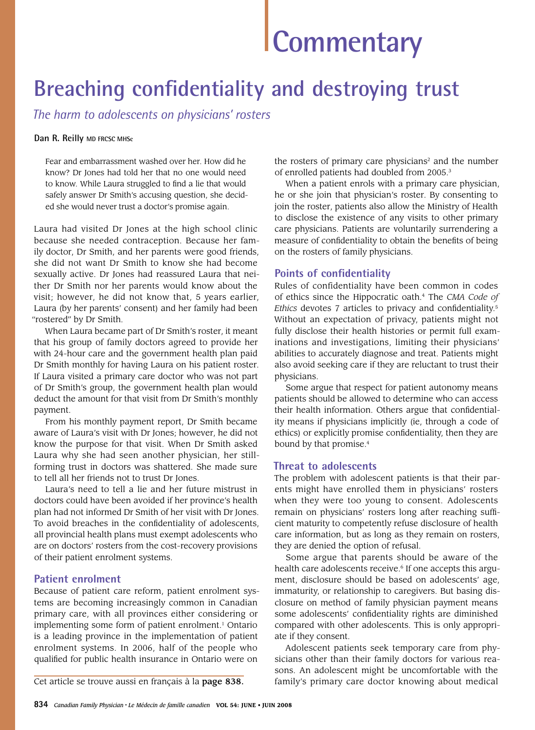# **Commentary**

# **Breaching confidentiality and destroying trust**

*The harm to adolescents on physicians' rosters*

#### **Dan R. Reilly MD FRCSC MHSc**

Fear and embarrassment washed over her. How did he know? Dr Jones had told her that no one would need to know. While Laura struggled to find a lie that would safely answer Dr Smith's accusing question, she decided she would never trust a doctor's promise again.

Laura had visited Dr Jones at the high school clinic because she needed contraception. Because her family doctor, Dr Smith, and her parents were good friends, she did not want Dr Smith to know she had become sexually active. Dr Jones had reassured Laura that neither Dr Smith nor her parents would know about the visit; however, he did not know that, 5 years earlier, Laura (by her parents' consent) and her family had been "rostered" by Dr Smith.

When Laura became part of Dr Smith's roster, it meant that his group of family doctors agreed to provide her with 24-hour care and the government health plan paid Dr Smith monthly for having Laura on his patient roster. If Laura visited a primary care doctor who was not part of Dr Smith's group, the government health plan would deduct the amount for that visit from Dr Smith's monthly payment.

From his monthly payment report, Dr Smith became aware of Laura's visit with Dr Jones; however, he did not know the purpose for that visit. When Dr Smith asked Laura why she had seen another physician, her stillforming trust in doctors was shattered. She made sure to tell all her friends not to trust Dr Jones.

Laura's need to tell a lie and her future mistrust in doctors could have been avoided if her province's health plan had not informed Dr Smith of her visit with Dr Jones. To avoid breaches in the confidentiality of adolescents, all provincial health plans must exempt adolescents who are on doctors' rosters from the cost-recovery provisions of their patient enrolment systems.

### **Patient enrolment**

Because of patient care reform, patient enrolment systems are becoming increasingly common in Canadian primary care, with all provinces either considering or implementing some form of patient enrolment.<sup>1</sup> Ontario is a leading province in the implementation of patient enrolment systems. In 2006, half of the people who qualified for public health insurance in Ontario were on

the rosters of primary care physicians $2$  and the number of enrolled patients had doubled from 2005.3

When a patient enrols with a primary care physician, he or she join that physician's roster. By consenting to join the roster, patients also allow the Ministry of Health to disclose the existence of any visits to other primary care physicians. Patients are voluntarily surrendering a measure of confidentiality to obtain the benefits of being on the rosters of family physicians.

## **Points of confidentiality**

Rules of confidentiality have been common in codes of ethics since the Hippocratic oath.4 The *CMA Code of Ethics* devotes 7 articles to privacy and confidentiality.5 Without an expectation of privacy, patients might not fully disclose their health histories or permit full examinations and investigations, limiting their physicians' abilities to accurately diagnose and treat. Patients might also avoid seeking care if they are reluctant to trust their physicians.

Some argue that respect for patient autonomy means patients should be allowed to determine who can access their health information. Others argue that confidentiality means if physicians implicitly (ie, through a code of ethics) or explicitly promise confidentiality, then they are bound by that promise.<sup>4</sup>

### **Threat to adolescents**

The problem with adolescent patients is that their parents might have enrolled them in physicians' rosters when they were too young to consent. Adolescents remain on physicians' rosters long after reaching sufficient maturity to competently refuse disclosure of health care information, but as long as they remain on rosters, they are denied the option of refusal.

Some argue that parents should be aware of the health care adolescents receive.<sup>6</sup> If one accepts this argument, disclosure should be based on adolescents' age, immaturity, or relationship to caregivers. But basing disclosure on method of family physician payment means some adolescents' confidentiality rights are diminished compared with other adolescents. This is only appropriate if they consent.

Adolescent patients seek temporary care from physicians other than their family doctors for various reasons. An adolescent might be uncomfortable with the Cet article se trouve aussi en français à la page 838. Family's primary care doctor knowing about medical